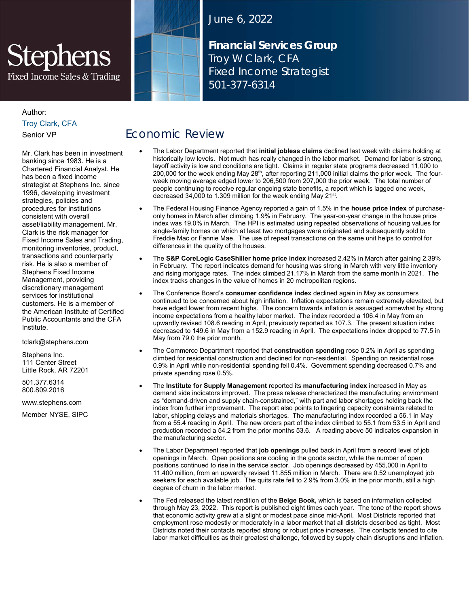

Author: Troy Clark, CFA Senior VP

Mr. Clark has been in investment banking since 1983. He is a Chartered Financial Analyst. He has been a fixed income strategist at Stephens Inc. since 1996, developing investment strategies, policies and procedures for institutions consistent with overall asset/liability management. Mr. Clark is the risk manager for Fixed Income Sales and Trading, monitoring inventories, product, transactions and counterparty risk. He is also a member of Stephens Fixed Income Management, providing discretionary management services for institutional customers. He is a member of the American Institute of Certified Public Accountants and the CFA Institute.

tclark@stephens.com

Stephens Inc. 111 Center Street Little Rock, AR 72201

501.377.6314 800.809.2016

www.stephens.com

Member NYSE, SIPC

June 6, 2022

**Financial Services Group**  Troy W Clark, CFA Fixed Income Strategist 501-377-6314

## Economic Review

- The Labor Department reported that **initial jobless claims** declined last week with claims holding at historically low levels. Not much has really changed in the labor market. Demand for labor is strong, layoff activity is low and conditions are tight. Claims in regular state programs decreased 11,000 to 200,000 for the week ending May 28<sup>th</sup>, after reporting 211,000 initial claims the prior week. The fourweek moving average edged lower to 206,500 from 207,000 the prior week. The total number of people continuing to receive regular ongoing state benefits, a report which is lagged one week, decreased 34,000 to 1.309 million for the week ending May 21<sup>st</sup>.
- The Federal Housing Finance Agency reported a gain of 1.5% in the **house price index** of purchaseonly homes in March after climbing 1.9% in February. The year-on-year change in the house price index was 19.0% in March. The HPI is estimated using repeated observations of housing values for single-family homes on which at least two mortgages were originated and subsequently sold to Freddie Mac or Fannie Mae. The use of repeat transactions on the same unit helps to control for differences in the quality of the houses.
- The **S&P CoreLogic CaseShiller home price index** increased 2.42% in March after gaining 2.39% in February. The report indicates demand for housing was strong in March with very little inventory and rising mortgage rates. The index climbed 21.17% in March from the same month in 2021. The index tracks changes in the value of homes in 20 metropolitan regions.
- The Conference Board's **consumer confidence index** declined again in May as consumers continued to be concerned about high inflation. Inflation expectations remain extremely elevated, but have edged lower from recent highs. The concern towards inflation is assuaged somewhat by strong income expectations from a healthy labor market. The index recorded a 106.4 in May from an upwardly revised 108.6 reading in April, previously reported as 107.3. The present situation index decreased to 149.6 in May from a 152.9 reading in April. The expectations index dropped to 77.5 in May from 79.0 the prior month.
- The Commerce Department reported that **construction spending** rose 0.2% in April as spending climbed for residential construction and declined for non-residential. Spending on residential rose 0.9% in April while non-residential spending fell 0.4%. Government spending decreased 0.7% and private spending rose 0.5%.
- The **Institute for Supply Management** reported its **manufacturing index** increased in May as demand side indicators improved. The press release characterized the manufacturing environment as "demand-driven and supply chain-constrained," with part and labor shortages holding back the index from further improvement. The report also points to lingering capacity constraints related to labor, shipping delays and materials shortages. The manufacturing index recorded a 56.1 in May from a 55.4 reading in April. The new orders part of the index climbed to 55.1 from 53.5 in April and production recorded a 54.2 from the prior months 53.6. A reading above 50 indicates expansion in the manufacturing sector.
- The Labor Department reported that **job openings** pulled back in April from a record level of job openings in March. Open positions are cooling in the goods sector, while the number of open positions continued to rise in the service sector. Job openings decreased by 455,000 in April to 11.400 million, from an upwardly revised 11.855 million in March. There are 0.52 unemployed job seekers for each available job. The quits rate fell to 2.9% from 3.0% in the prior month, still a high degree of churn in the labor market.
- The Fed released the latest rendition of the **Beige Book,** which is based on information collected through May 23, 2022. This report is published eight times each year. The tone of the report shows that economic activity grew at a slight or modest pace since mid-April. Most Districts reported that employment rose modestly or moderately in a labor market that all districts described as tight. Most Districts noted their contacts reported strong or robust price increases. The contacts tended to cite labor market difficulties as their greatest challenge, followed by supply chain disruptions and inflation.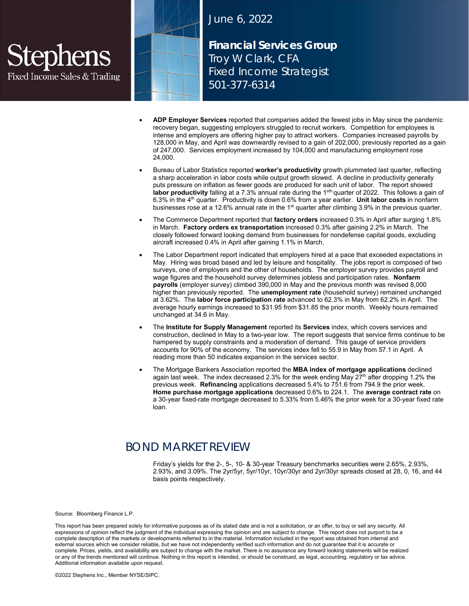

June 6, 2022

**Financial Services Group**  Troy W Clark, CFA Fixed Income Strategist 501-377-6314

- **ADP Employer Services** reported that companies added the fewest jobs in May since the pandemic recovery began, suggesting employers struggled to recruit workers. Competition for employees is intense and employers are offering higher pay to attract workers. Companies increased payrolls by 128,000 in May, and April was downwardly revised to a gain of 202,000, previously reported as a gain of 247,000. Services employment increased by 104,000 and manufacturing employment rose 24,000.
- Bureau of Labor Statistics reported **worker's productivity** growth plummeted last quarter, reflecting a sharp acceleration in labor costs while output growth slowed. A decline in productivity generally puts pressure on inflation as fewer goods are produced for each unit of labor. The report showed labor productivity falling at a 7.3% annual rate during the 1<sup>sth</sup> quarter of 2022. This follows a gain of 6.3% in the 4th quarter. Productivity is down 0.6% from a year earlier. **Unit labor costs** in nonfarm businesses rose at a 12.6% annual rate in the  $1<sup>st</sup>$  quarter after climbing 3.9% in the previous quarter.
- The Commerce Department reported that **factory orders** increased 0.3% in April after surging 1.8% in March. **Factory orders ex transportation** increased 0.3% after gaining 2.2% in March. The closely followed forward looking demand from businesses for nondefense capital goods, excluding aircraft increased 0.4% in April after gaining 1.1% in March.
- The Labor Department report indicated that employers hired at a pace that exceeded expectations in May. Hiring was broad based and led by leisure and hospitality. The jobs report is composed of two surveys, one of employers and the other of households. The employer survey provides payroll and wage figures and the household survey determines jobless and participation rates. **Nonfarm payrolls** (employer survey) climbed 390,000 in May and the previous month was revised 8,000 higher than previously reported. The **unemployment rate** (household survey) remained unchanged at 3.62%. The **labor force participation rate** advanced to 62.3% in May from 62.2% in April. The average hourly earnings increased to \$31.95 from \$31.85 the prior month. Weekly hours remained unchanged at 34.6 in May.
- The **Institute for Supply Management** reported its **Services** index, which covers services and construction, declined in May to a two-year low. The report suggests that service firms continue to be hampered by supply constraints and a moderation of demand. This gauge of service providers accounts for 90% of the economy. The services index fell to 55.9 in May from 57.1 in April. A reading more than 50 indicates expansion in the services sector.
- The Mortgage Bankers Association reported the **MBA index of mortgage applications** declined again last week. The index decreased 2.3% for the week ending May  $27<sup>th</sup>$  after dropping 1.2% the previous week. **Refinancing** applications decreased 5.4% to 751.6 from 794.9 the prior week. **Home purchase mortgage applications** decreased 0.6% to 224.1. The **average contract rate** on a 30-year fixed-rate mortgage decreased to 5.33% from 5.46% the prior week for a 30-year fixed rate loan.

## BOND MARKET REVIEW

Friday's yields for the 2-, 5-, 10- & 30-year Treasury benchmarks securities were 2.65%, 2.93%, 2.93%, and 3.09%. The 2yr/5yr, 5yr/10yr, 10yr/30yr and 2yr/30yr spreads closed at 28, 0, 16, and 44 basis points respectively.

Source: Bloomberg Finance L.P.

This report has been prepared solely for informative purposes as of its stated date and is not a solicitation, or an offer, to buy or sell any security. All expressions of opinion reflect the judgment of the individual expressing the opinion and are subject to change. This report does not purport to be a complete description of the markets or developments referred to in the material. Information included in the report was obtained from internal and external sources which we consider reliable, but we have not independently verified such information and do not guarantee that it is accurate or complete. Prices, yields, and availability are subject to change with the market. There is no assurance any forward looking statements will be realized or any of the trends mentioned will continue. Nothing in this report is intended, or should be construed, as legal, accounting, regulatory or tax advice. Additional information available upon request.